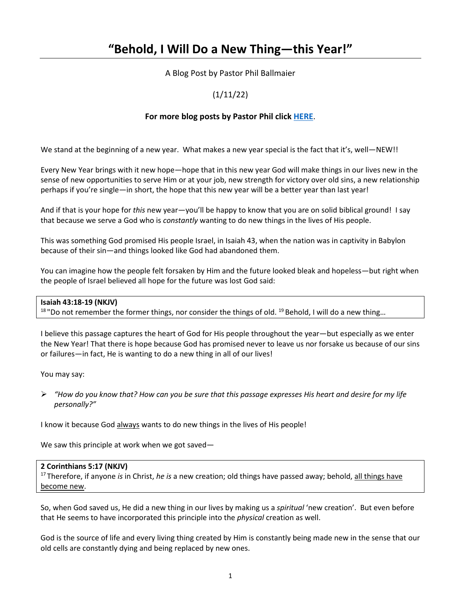# **"Behold, I Will Do a New Thing—this Year!"**

A Blog Post by Pastor Phil Ballmaier

# (1/11/22)

# **For more blog posts by Pastor Phil click [HERE](http://www.ccelkgrove.org/pastors-blog)**.

We stand at the beginning of a new year. What makes a new year special is the fact that it's, well—NEW!!

Every New Year brings with it new hope—hope that in this new year God will make things in our lives new in the sense of new opportunities to serve Him or at your job, new strength for victory over old sins, a new relationship perhaps if you're single—in short, the hope that this new year will be a better year than last year!

And if that is your hope for *this* new year—you'll be happy to know that you are on solid biblical ground! I say that because we serve a God who is *constantly* wanting to do new things in the lives of His people.

This was something God promised His people Israel, in Isaiah 43, when the nation was in captivity in Babylon because of their sin—and things looked like God had abandoned them.

You can imagine how the people felt forsaken by Him and the future looked bleak and hopeless—but right when the people of Israel believed all hope for the future was lost God said:

#### **Isaiah 43:18-19 (NKJV)**

 $18$  "Do not remember the former things, nor consider the things of old.  $19$  Behold, I will do a new thing...

I believe this passage captures the heart of God for His people throughout the year—but especially as we enter the New Year! That there is hope because God has promised never to leave us nor forsake us because of our sins or failures—in fact, He is wanting to do a new thing in all of our lives!

You may say:

 *"How do you know that? How can you be sure that this passage expresses His heart and desire for my life personally?"*

I know it because God always wants to do new things in the lives of His people!

We saw this principle at work when we got saved—

#### **2 Corinthians 5:17 (NKJV)**

17 Therefore, if anyone *is* in Christ, *he is* a new creation; old things have passed away; behold, all things have become new.

So, when God saved us, He did a new thing in our lives by making us a *spiritual* 'new creation'. But even before that He seems to have incorporated this principle into the *physical* creation as well.

God is the source of life and every living thing created by Him is constantly being made new in the sense that our old cells are constantly dying and being replaced by new ones.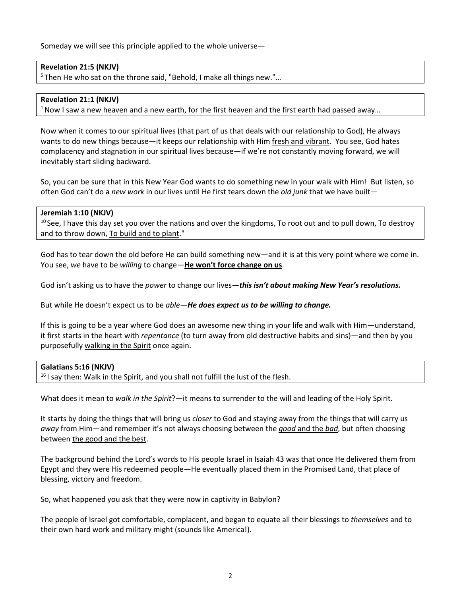Someday we will see this principle applied to the whole universe—

# **Revelation 21:5 (NKJV)**

5 Then He who sat on the throne said, "Behold, I make all things new."…

## **Revelation 21:1 (NKJV)**

 $1$  Now I saw a new heaven and a new earth, for the first heaven and the first earth had passed away...

Now when it comes to our spiritual lives (that part of us that deals with our relationship to God), He always wants to do new things because—it keeps our relationship with Him fresh and vibrant. You see, God hates complacency and stagnation in our spiritual lives because—if we're not constantly moving forward, we will inevitably start sliding backward.

So, you can be sure that in this New Year God wants to do something new in your walk with Him! But listen, so often God can't do a *new work* in our lives until He first tears down the *old junk* that we have built—

## **Jeremiah 1:10 (NKJV)**

 $10$  See, I have this day set you over the nations and over the kingdoms, To root out and to pull down, To destroy and to throw down, To build and to plant."

God has to tear down the old before He can build something new—and it is at this very point where we come in. You see, *we* have to be *willing* to change—**He won't force change on us**.

God isn't asking us to have the *power* to change our lives—*this isn't about making New Year's resolutions.*

But while He doesn't expect us to be *able*—*He does expect us to be willing to change.*

If this is going to be a year where God does an awesome new thing in your life and walk with Him—understand, it first starts in the heart with *repentance* (to turn away from old destructive habits and sins)—and then by you purposefully walking in the Spirit once again.

#### **Galatians 5:16 (NKJV)**

 $16$  I say then: Walk in the Spirit, and you shall not fulfill the lust of the flesh.

What does it mean to *walk in the Spirit*?—it means to surrender to the will and leading of the Holy Spirit.

It starts by doing the things that will bring us *closer* to God and staying away from the things that will carry us *away* from Him—and remember it's not always choosing between the *good* and the *bad*, but often choosing between the good and the best.

The background behind the Lord's words to His people Israel in Isaiah 43 was that once He delivered them from Egypt and they were His redeemed people—He eventually placed them in the Promised Land, that place of blessing, victory and freedom.

So, what happened you ask that they were now in captivity in Babylon?

The people of Israel got comfortable, complacent, and began to equate all their blessings to *themselves* and to their own hard work and military might (sounds like America!).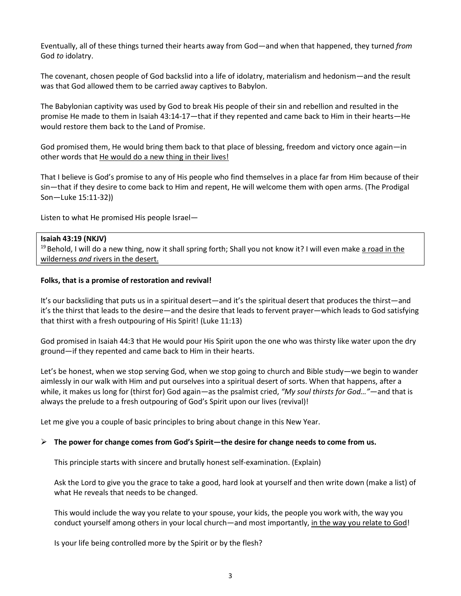Eventually, all of these things turned their hearts away from God—and when that happened, they turned *from* God *to* idolatry.

The covenant, chosen people of God backslid into a life of idolatry, materialism and hedonism—and the result was that God allowed them to be carried away captives to Babylon.

The Babylonian captivity was used by God to break His people of their sin and rebellion and resulted in the promise He made to them in Isaiah 43:14-17—that if they repented and came back to Him in their hearts—He would restore them back to the Land of Promise.

God promised them, He would bring them back to that place of blessing, freedom and victory once again—in other words that He would do a new thing in their lives!

That I believe is God's promise to any of His people who find themselves in a place far from Him because of their sin—that if they desire to come back to Him and repent, He will welcome them with open arms. (The Prodigal Son—Luke 15:11-32))

Listen to what He promised His people Israel—

## **Isaiah 43:19 (NKJV)**

<sup>19</sup> Behold, I will do a new thing, now it shall spring forth; Shall you not know it? I will even make a road in the wilderness *and* rivers in the desert.

#### **Folks, that is a promise of restoration and revival!**

It's our backsliding that puts us in a spiritual desert—and it's the spiritual desert that produces the thirst—and it's the thirst that leads to the desire—and the desire that leads to fervent prayer—which leads to God satisfying that thirst with a fresh outpouring of His Spirit! (Luke 11:13)

God promised in Isaiah 44:3 that He would pour His Spirit upon the one who was thirsty like water upon the dry ground—if they repented and came back to Him in their hearts.

Let's be honest, when we stop serving God, when we stop going to church and Bible study—we begin to wander aimlessly in our walk with Him and put ourselves into a spiritual desert of sorts. When that happens, after a while, it makes us long for (thirst for) God again*—*as the psalmist cried, *"My soul thirsts for God…"*—and that is always the prelude to a fresh outpouring of God's Spirit upon our lives (revival)!

Let me give you a couple of basic principles to bring about change in this New Year.

#### **The power for change comes from God's Spirit—the desire for change needs to come from us.**

This principle starts with sincere and brutally honest self-examination. (Explain)

Ask the Lord to give you the grace to take a good, hard look at yourself and then write down (make a list) of what He reveals that needs to be changed.

This would include the way you relate to your spouse, your kids, the people you work with, the way you conduct yourself among others in your local church—and most importantly, in the way you relate to God!

Is your life being controlled more by the Spirit or by the flesh?